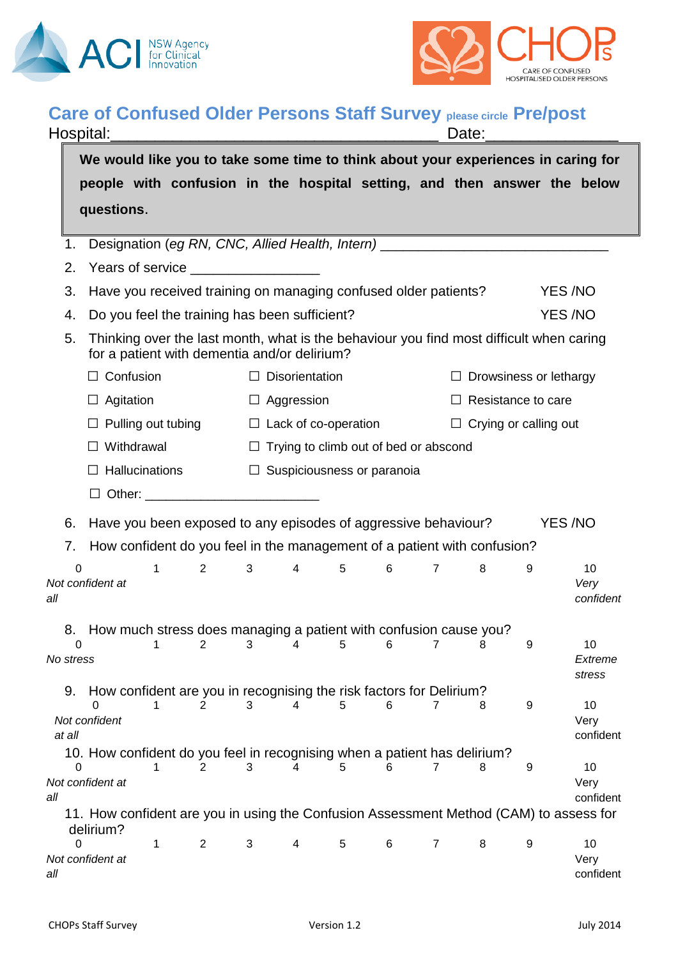



## **Care of Confused Older Persons Staff Survey please circle Pre/post**

| Hospital:                                                                                                                                     |                                                                                   |   |                                                                 |                                              |                | Date:          |   |                               |                              |               |                         |  |
|-----------------------------------------------------------------------------------------------------------------------------------------------|-----------------------------------------------------------------------------------|---|-----------------------------------------------------------------|----------------------------------------------|----------------|----------------|---|-------------------------------|------------------------------|---------------|-------------------------|--|
|                                                                                                                                               | We would like you to take some time to think about your experiences in caring for |   |                                                                 |                                              |                |                |   |                               |                              |               |                         |  |
|                                                                                                                                               | people with confusion in the hospital setting, and then answer the below          |   |                                                                 |                                              |                |                |   |                               |                              |               |                         |  |
|                                                                                                                                               | questions.                                                                        |   |                                                                 |                                              |                |                |   |                               |                              |               |                         |  |
|                                                                                                                                               |                                                                                   |   |                                                                 |                                              |                |                |   |                               |                              |               |                         |  |
| 1.                                                                                                                                            | Designation (eg RN, CNC, Allied Health, Intern) ________________________________  |   |                                                                 |                                              |                |                |   |                               |                              |               |                         |  |
| 2.                                                                                                                                            | Years of service ___________________                                              |   |                                                                 |                                              |                |                |   |                               |                              |               |                         |  |
| 3.                                                                                                                                            |                                                                                   |   | Have you received training on managing confused older patients? |                                              |                |                |   | YES /NO                       |                              |               |                         |  |
| 4.                                                                                                                                            | Do you feel the training has been sufficient?                                     |   |                                                                 |                                              |                |                |   |                               |                              | <b>YES/NO</b> |                         |  |
| Thinking over the last month, what is the behaviour you find most difficult when caring<br>5.<br>for a patient with dementia and/or delirium? |                                                                                   |   |                                                                 |                                              |                |                |   |                               |                              |               |                         |  |
|                                                                                                                                               | $\Box$ Confusion                                                                  |   | $\Box$ Disorientation                                           |                                              |                |                |   | $\Box$ Drowsiness or lethargy |                              |               |                         |  |
|                                                                                                                                               | $\Box$ Agitation                                                                  |   |                                                                 | $\Box$ Aggression                            |                |                |   |                               | $\Box$ Resistance to care    |               |                         |  |
|                                                                                                                                               | $\Box$ Pulling out tubing                                                         |   |                                                                 | $\Box$ Lack of co-operation                  |                |                |   |                               | $\Box$ Crying or calling out |               |                         |  |
|                                                                                                                                               | $\Box$ Withdrawal                                                                 |   |                                                                 | $\Box$ Trying to climb out of bed or abscond |                |                |   |                               |                              |               |                         |  |
|                                                                                                                                               | Hallucinations<br>$\Box$                                                          |   |                                                                 | $\Box$ Suspiciousness or paranoia            |                |                |   |                               |                              |               |                         |  |
|                                                                                                                                               |                                                                                   |   |                                                                 |                                              |                |                |   |                               |                              |               |                         |  |
| 6.                                                                                                                                            | Have you been exposed to any episodes of aggressive behaviour?                    |   |                                                                 |                                              |                |                |   |                               |                              | <b>YES/NO</b> |                         |  |
| 7.                                                                                                                                            | How confident do you feel in the management of a patient with confusion?          |   |                                                                 |                                              |                |                |   |                               |                              |               |                         |  |
| $\Omega$                                                                                                                                      |                                                                                   | 1 | $\overline{2}$                                                  | 3                                            | $\overline{4}$ | 5              | 6 | $\overline{7}$                | 8                            | 9             | 10                      |  |
| all                                                                                                                                           | Not confident at                                                                  |   |                                                                 |                                              |                |                |   |                               |                              |               | Very<br>confident       |  |
| 8.                                                                                                                                            | How much stress does managing a patient with confusion cause you?                 |   |                                                                 |                                              |                |                |   |                               |                              |               |                         |  |
| $\overline{2}$<br>1<br>0<br>No stress                                                                                                         |                                                                                   | 3 | 4                                                               | 5                                            | 6              | $\overline{7}$ | 8 | 9                             | 10<br>Extreme<br>stress      |               |                         |  |
| 9.                                                                                                                                            | How confident are you in recognising the risk factors for Delirium?               |   |                                                                 |                                              |                |                |   |                               |                              |               |                         |  |
| at all                                                                                                                                        | Not confident                                                                     | 1 | 2                                                               | 3                                            | 4              | 5              | 6 | 7                             | 8                            | 9             | 10<br>Very<br>confident |  |
|                                                                                                                                               | 10. How confident do you feel in recognising when a patient has delirium?         |   |                                                                 |                                              |                |                |   |                               |                              |               |                         |  |
| all                                                                                                                                           | Not confident at                                                                  | 1 | 2                                                               | 3                                            | 4              | 5              | 6 | 7                             | 8                            | 9             | 10<br>Very<br>confident |  |
| 11. How confident are you in using the Confusion Assessment Method (CAM) to assess for                                                        |                                                                                   |   |                                                                 |                                              |                |                |   |                               |                              |               |                         |  |
| 0<br>all                                                                                                                                      | delirium?<br>Not confident at                                                     | 1 | $\overline{2}$                                                  | 3                                            | 4              | 5              | 6 | $\overline{7}$                | 8                            | 9             | 10<br>Very<br>confident |  |